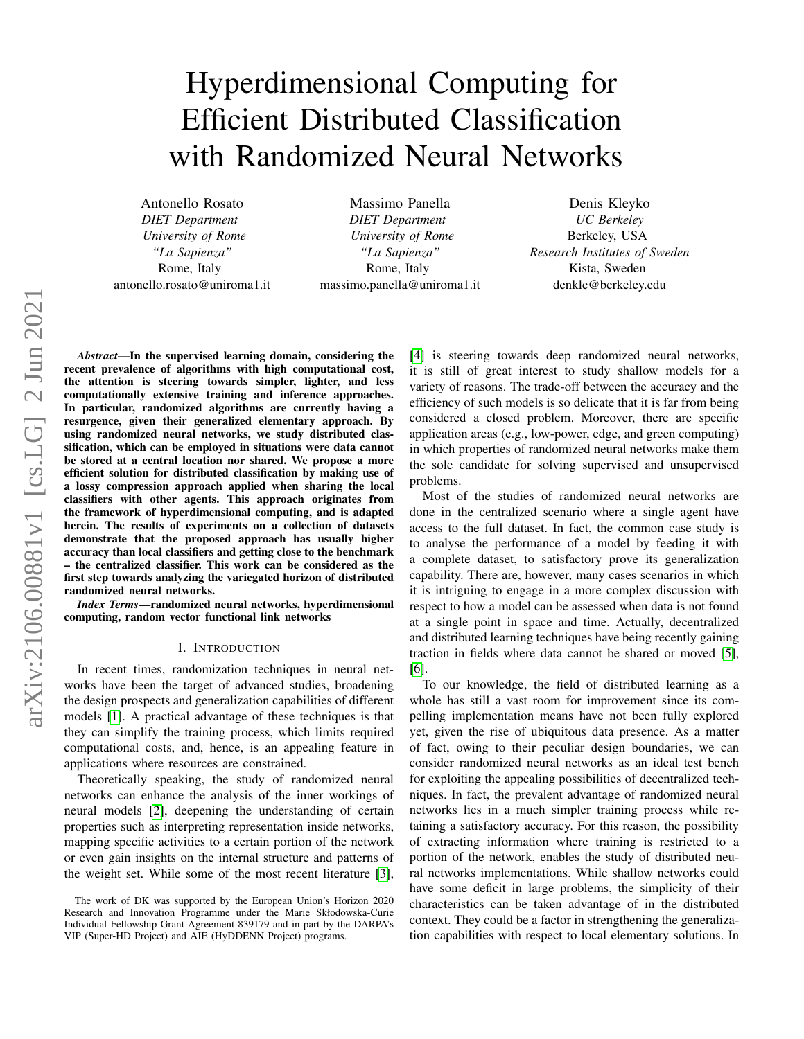# Hyperdimensional Computing for Efficient Distributed Classification with Randomized Neural Networks

Antonello Rosato *DIET Department University of Rome "La Sapienza"* Rome, Italy antonello.rosato@uniroma1.it

Massimo Panella *DIET Department University of Rome "La Sapienza"* Rome, Italy massimo.panella@uniroma1.it

Denis Kleyko *UC Berkeley* Berkeley, USA *Research Institutes of Sweden* Kista, Sweden denkle@berkeley.edu

*Abstract*—In the supervised learning domain, considering the recent prevalence of algorithms with high computational cost, the attention is steering towards simpler, lighter, and less computationally extensive training and inference approaches. In particular, randomized algorithms are currently having a resurgence, given their generalized elementary approach. By using randomized neural networks, we study distributed classification, which can be employed in situations were data cannot be stored at a central location nor shared. We propose a more efficient solution for distributed classification by making use of a lossy compression approach applied when sharing the local classifiers with other agents. This approach originates from the framework of hyperdimensional computing, and is adapted herein. The results of experiments on a collection of datasets demonstrate that the proposed approach has usually higher accuracy than local classifiers and getting close to the benchmark – the centralized classifier. This work can be considered as the first step towards analyzing the variegated horizon of distributed randomized neural networks.

*Index Terms*—randomized neural networks, hyperdimensional computing, random vector functional link networks

## I. INTRODUCTION

<span id="page-0-0"></span>In recent times, randomization techniques in neural networks have been the target of advanced studies, broadening the design prospects and generalization capabilities of different models [\[1\]](#page-8-0). A practical advantage of these techniques is that they can simplify the training process, which limits required computational costs, and, hence, is an appealing feature in applications where resources are constrained.

Theoretically speaking, the study of randomized neural networks can enhance the analysis of the inner workings of neural models [\[2\]](#page-8-1), deepening the understanding of certain properties such as interpreting representation inside networks, mapping specific activities to a certain portion of the network or even gain insights on the internal structure and patterns of the weight set. While some of the most recent literature [\[3\]](#page-8-2),

[\[4\]](#page-8-3) is steering towards deep randomized neural networks, it is still of great interest to study shallow models for a variety of reasons. The trade-off between the accuracy and the efficiency of such models is so delicate that it is far from being considered a closed problem. Moreover, there are specific application areas (e.g., low-power, edge, and green computing) in which properties of randomized neural networks make them the sole candidate for solving supervised and unsupervised problems.

Most of the studies of randomized neural networks are done in the centralized scenario where a single agent have access to the full dataset. In fact, the common case study is to analyse the performance of a model by feeding it with a complete dataset, to satisfactory prove its generalization capability. There are, however, many cases scenarios in which it is intriguing to engage in a more complex discussion with respect to how a model can be assessed when data is not found at a single point in space and time. Actually, decentralized and distributed learning techniques have being recently gaining traction in fields where data cannot be shared or moved [\[5\]](#page-8-4), [\[6\]](#page-8-5).

To our knowledge, the field of distributed learning as a whole has still a vast room for improvement since its compelling implementation means have not been fully explored yet, given the rise of ubiquitous data presence. As a matter of fact, owing to their peculiar design boundaries, we can consider randomized neural networks as an ideal test bench for exploiting the appealing possibilities of decentralized techniques. In fact, the prevalent advantage of randomized neural networks lies in a much simpler training process while retaining a satisfactory accuracy. For this reason, the possibility of extracting information where training is restricted to a portion of the network, enables the study of distributed neural networks implementations. While shallow networks could have some deficit in large problems, the simplicity of their characteristics can be taken advantage of in the distributed context. They could be a factor in strengthening the generalization capabilities with respect to local elementary solutions. In

The work of DK was supported by the European Union's Horizon 2020 Research and Innovation Programme under the Marie Skłodowska-Curie Individual Fellowship Grant Agreement 839179 and in part by the DARPA's VIP (Super-HD Project) and AIE (HyDDENN Project) programs.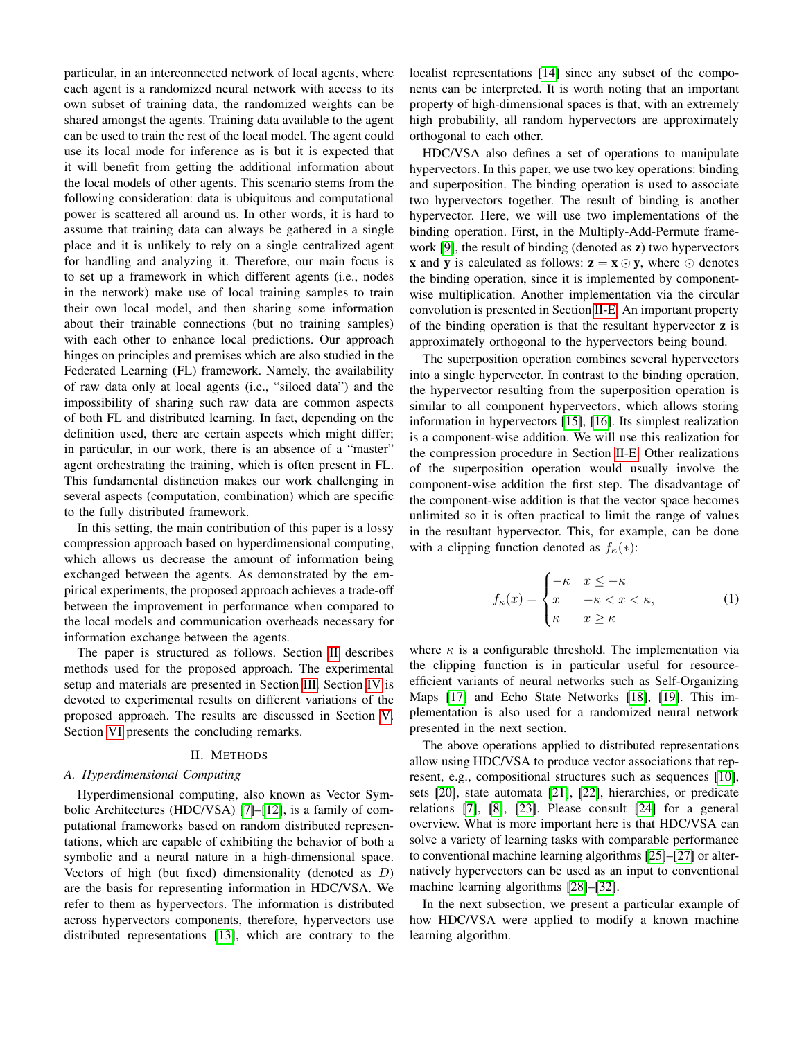particular, in an interconnected network of local agents, where each agent is a randomized neural network with access to its own subset of training data, the randomized weights can be shared amongst the agents. Training data available to the agent can be used to train the rest of the local model. The agent could use its local mode for inference as is but it is expected that it will benefit from getting the additional information about the local models of other agents. This scenario stems from the following consideration: data is ubiquitous and computational power is scattered all around us. In other words, it is hard to assume that training data can always be gathered in a single place and it is unlikely to rely on a single centralized agent for handling and analyzing it. Therefore, our main focus is to set up a framework in which different agents (i.e., nodes in the network) make use of local training samples to train their own local model, and then sharing some information about their trainable connections (but no training samples) with each other to enhance local predictions. Our approach hinges on principles and premises which are also studied in the Federated Learning (FL) framework. Namely, the availability of raw data only at local agents (i.e., "siloed data") and the impossibility of sharing such raw data are common aspects of both FL and distributed learning. In fact, depending on the definition used, there are certain aspects which might differ; in particular, in our work, there is an absence of a "master" agent orchestrating the training, which is often present in FL. This fundamental distinction makes our work challenging in several aspects (computation, combination) which are specific to the fully distributed framework.

In this setting, the main contribution of this paper is a lossy compression approach based on hyperdimensional computing, which allows us decrease the amount of information being exchanged between the agents. As demonstrated by the empirical experiments, the proposed approach achieves a trade-off between the improvement in performance when compared to the local models and communication overheads necessary for information exchange between the agents.

The paper is structured as follows. Section [II](#page-1-0) describes methods used for the proposed approach. The experimental setup and materials are presented in Section [III.](#page-4-0) Section [IV](#page-5-0) is devoted to experimental results on different variations of the proposed approach. The results are discussed in Section [V.](#page-6-0) Section [VI](#page-8-6) presents the concluding remarks.

## II. METHODS

## <span id="page-1-0"></span>*A. Hyperdimensional Computing*

Hyperdimensional computing, also known as Vector Symbolic Architectures (HDC/VSA) [\[7\]](#page-8-7)–[\[12\]](#page-8-8), is a family of computational frameworks based on random distributed representations, which are capable of exhibiting the behavior of both a symbolic and a neural nature in a high-dimensional space. Vectors of high (but fixed) dimensionality (denoted as D) are the basis for representing information in HDC/VSA. We refer to them as hypervectors. The information is distributed across hypervectors components, therefore, hypervectors use distributed representations [\[13\]](#page-8-9), which are contrary to the localist representations [\[14\]](#page-8-10) since any subset of the components can be interpreted. It is worth noting that an important property of high-dimensional spaces is that, with an extremely high probability, all random hypervectors are approximately orthogonal to each other.

HDC/VSA also defines a set of operations to manipulate hypervectors. In this paper, we use two key operations: binding and superposition. The binding operation is used to associate two hypervectors together. The result of binding is another hypervector. Here, we will use two implementations of the binding operation. First, in the Multiply-Add-Permute framework [\[9\]](#page-8-11), the result of binding (denoted as z) two hypervectors **x** and **y** is calculated as follows:  $z = x \odot y$ , where  $\odot$  denotes the binding operation, since it is implemented by componentwise multiplication. Another implementation via the circular convolution is presented in Section [II-E.](#page-3-0) An important property of the binding operation is that the resultant hypervector z is approximately orthogonal to the hypervectors being bound.

The superposition operation combines several hypervectors into a single hypervector. In contrast to the binding operation, the hypervector resulting from the superposition operation is similar to all component hypervectors, which allows storing information in hypervectors [\[15\]](#page-8-12), [\[16\]](#page-9-0). Its simplest realization is a component-wise addition. We will use this realization for the compression procedure in Section [II-E.](#page-3-0) Other realizations of the superposition operation would usually involve the component-wise addition the first step. The disadvantage of the component-wise addition is that the vector space becomes unlimited so it is often practical to limit the range of values in the resultant hypervector. This, for example, can be done with a clipping function denoted as  $f_{\kappa}(*)$ :

$$
f_{\kappa}(x) = \begin{cases} -\kappa & x \leq -\kappa \\ x & -\kappa < x < \kappa, \\ \kappa & x \geq \kappa \end{cases}
$$
 (1)

where  $\kappa$  is a configurable threshold. The implementation via the clipping function is in particular useful for resourceefficient variants of neural networks such as Self-Organizing Maps [\[17\]](#page-9-1) and Echo State Networks [\[18\]](#page-9-2), [\[19\]](#page-9-3). This implementation is also used for a randomized neural network presented in the next section.

The above operations applied to distributed representations allow using HDC/VSA to produce vector associations that represent, e.g., compositional structures such as sequences [\[10\]](#page-8-13), sets [\[20\]](#page-9-4), state automata [\[21\]](#page-9-5), [\[22\]](#page-9-6), hierarchies, or predicate relations [\[7\]](#page-8-7), [\[8\]](#page-8-14), [\[23\]](#page-9-7). Please consult [\[24\]](#page-9-8) for a general overview. What is more important here is that HDC/VSA can solve a variety of learning tasks with comparable performance to conventional machine learning algorithms [\[25\]](#page-9-9)–[\[27\]](#page-9-10) or alternatively hypervectors can be used as an input to conventional machine learning algorithms [\[28\]](#page-9-11)–[\[32\]](#page-9-12).

In the next subsection, we present a particular example of how HDC/VSA were applied to modify a known machine learning algorithm.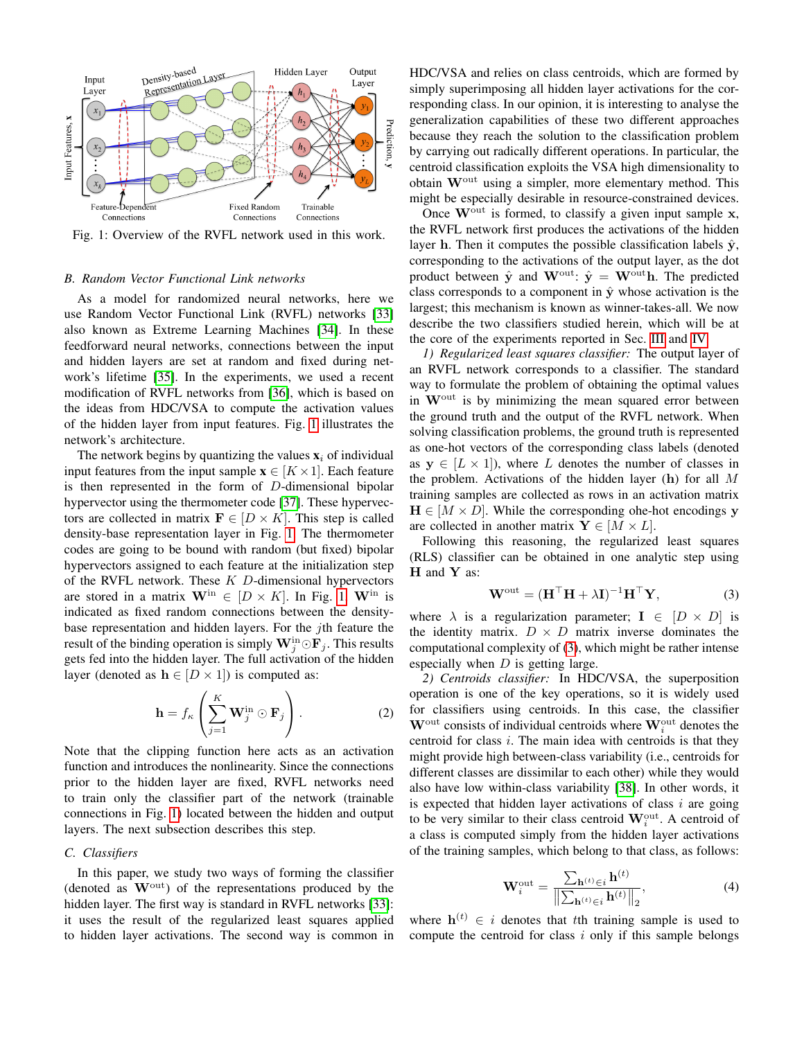<span id="page-2-0"></span>

Fig. 1: Overview of the RVFL network used in this work.

## *B. Random Vector Functional Link networks*

As a model for randomized neural networks, here we use Random Vector Functional Link (RVFL) networks [\[33\]](#page-9-13) also known as Extreme Learning Machines [\[34\]](#page-9-14). In these feedforward neural networks, connections between the input and hidden layers are set at random and fixed during network's lifetime [\[35\]](#page-9-15). In the experiments, we used a recent modification of RVFL networks from [\[36\]](#page-9-16), which is based on the ideas from HDC/VSA to compute the activation values of the hidden layer from input features. Fig. [1](#page-2-0) illustrates the network's architecture.

The network begins by quantizing the values  $x_i$  of individual input features from the input sample  $\mathbf{x} \in [K \times 1]$ . Each feature is then represented in the form of D-dimensional bipolar hypervector using the thermometer code [\[37\]](#page-9-17). These hypervectors are collected in matrix  $\mathbf{F} \in [D \times K]$ . This step is called density-base representation layer in Fig. [1.](#page-2-0) The thermometer codes are going to be bound with random (but fixed) bipolar hypervectors assigned to each feature at the initialization step of the RVFL network. These  $K$  D-dimensional hypervectors are stored in a matrix  $\mathbf{W}^{\text{in}} \in [D \times K]$ . In Fig. [1,](#page-2-0)  $\mathbf{W}^{\text{in}}$  is indicated as fixed random connections between the densitybase representation and hidden layers. For the  $j$ th feature the result of the binding operation is simply  $\mathbf{W}_j^{\text{in}} \odot \mathbf{F}_j$ . This results gets fed into the hidden layer. The full activation of the hidden layer (denoted as  $h \in [D \times 1]$ ) is computed as:

$$
\mathbf{h} = f_{\kappa} \left( \sum_{j=1}^{K} \mathbf{W}_{j}^{\text{in}} \odot \mathbf{F}_{j} \right). \tag{2}
$$

Note that the clipping function here acts as an activation function and introduces the nonlinearity. Since the connections prior to the hidden layer are fixed, RVFL networks need to train only the classifier part of the network (trainable connections in Fig. [1\)](#page-2-0) located between the hidden and output layers. The next subsection describes this step.

## *C. Classifiers*

In this paper, we study two ways of forming the classifier (denoted as  $W<sup>out</sup>$ ) of the representations produced by the hidden layer. The first way is standard in RVFL networks [\[33\]](#page-9-13): it uses the result of the regularized least squares applied to hidden layer activations. The second way is common in HDC/VSA and relies on class centroids, which are formed by simply superimposing all hidden layer activations for the corresponding class. In our opinion, it is interesting to analyse the generalization capabilities of these two different approaches because they reach the solution to the classification problem by carrying out radically different operations. In particular, the centroid classification exploits the VSA high dimensionality to obtain Wout using a simpler, more elementary method. This might be especially desirable in resource-constrained devices.

Once  $W<sup>out</sup>$  is formed, to classify a given input sample  $x$ , the RVFL network first produces the activations of the hidden layer h. Then it computes the possible classification labels  $\hat{y}$ , corresponding to the activations of the output layer, as the dot product between  $\hat{y}$  and  $\mathbf{W}^{\text{out}}$ :  $\hat{y} = \mathbf{W}^{\text{out}}$ h. The predicted class corresponds to a component in  $\hat{y}$  whose activation is the largest; this mechanism is known as winner-takes-all. We now describe the two classifiers studied herein, which will be at the core of the experiments reported in Sec. [III](#page-4-0) and [IV.](#page-5-0)

*1) Regularized least squares classifier:* The output layer of an RVFL network corresponds to a classifier. The standard way to formulate the problem of obtaining the optimal values in  $W<sup>out</sup>$  is by minimizing the mean squared error between the ground truth and the output of the RVFL network. When solving classification problems, the ground truth is represented as one-hot vectors of the corresponding class labels (denoted as  $y \in [L \times 1]$ , where L denotes the number of classes in the problem. Activations of the hidden layer (h) for all  $M$ training samples are collected as rows in an activation matrix  $H \in [M \times D]$ . While the corresponding ohe-hot encodings y are collected in another matrix  $\mathbf{Y} \in [M \times L]$ .

Following this reasoning, the regularized least squares (RLS) classifier can be obtained in one analytic step using H and Y as:

<span id="page-2-1"></span>
$$
\mathbf{W}^{\text{out}} = (\mathbf{H}^{\top}\mathbf{H} + \lambda\mathbf{I})^{-1}\mathbf{H}^{\top}\mathbf{Y},
$$
 (3)

where  $\lambda$  is a regularization parameter;  $I \in [D \times D]$  is the identity matrix.  $D \times D$  matrix inverse dominates the computational complexity of [\(3\)](#page-2-1), which might be rather intense especially when  $D$  is getting large.

*2) Centroids classifier:* In HDC/VSA, the superposition operation is one of the key operations, so it is widely used for classifiers using centroids. In this case, the classifier  $W<sup>out</sup>$  consists of individual centroids where  $W<sup>out</sup><sub>i</sub>$  denotes the centroid for class  $i$ . The main idea with centroids is that they might provide high between-class variability (i.e., centroids for different classes are dissimilar to each other) while they would also have low within-class variability [\[38\]](#page-9-18). In other words, it is expected that hidden layer activations of class  $i$  are going to be very similar to their class centroid  $\mathbf{W}_{i}^{\text{out}}$ . A centroid of a class is computed simply from the hidden layer activations of the training samples, which belong to that class, as follows:

$$
\mathbf{W}_{i}^{\text{out}} = \frac{\sum_{\mathbf{h}^{(t)} \in i} \mathbf{h}^{(t)}}{\left\| \sum_{\mathbf{h}^{(t)} \in i} \mathbf{h}^{(t)} \right\|_{2}},\tag{4}
$$

where  $h^{(t)} \in i$  denotes that tth training sample is used to compute the centroid for class  $i$  only if this sample belongs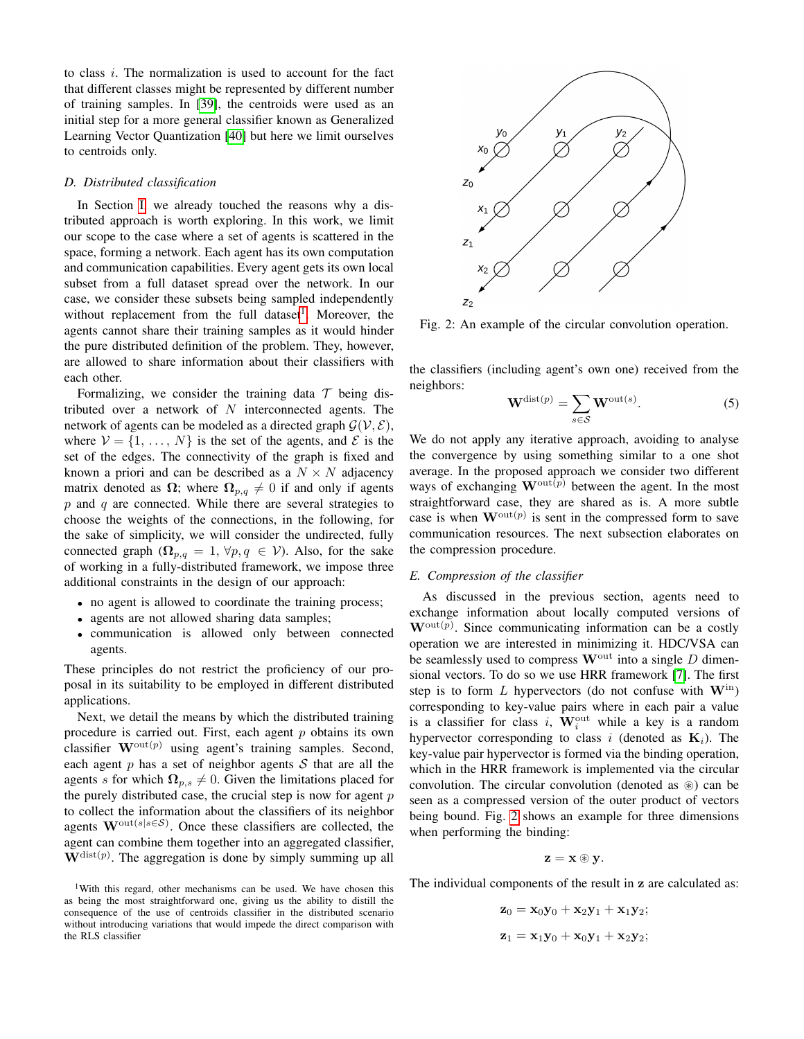to class  $i$ . The normalization is used to account for the fact that different classes might be represented by different number of training samples. In [\[39\]](#page-9-19), the centroids were used as an initial step for a more general classifier known as Generalized Learning Vector Quantization [\[40\]](#page-9-20) but here we limit ourselves to centroids only.

#### <span id="page-3-3"></span>*D. Distributed classification*

In Section [I,](#page-0-0) we already touched the reasons why a distributed approach is worth exploring. In this work, we limit our scope to the case where a set of agents is scattered in the space, forming a network. Each agent has its own computation and communication capabilities. Every agent gets its own local subset from a full dataset spread over the network. In our case, we consider these subsets being sampled independently without replacement from the full dataset<sup>[1](#page-3-1)</sup>. Moreover, the agents cannot share their training samples as it would hinder the pure distributed definition of the problem. They, however, are allowed to share information about their classifiers with each other.

Formalizing, we consider the training data  $\mathcal T$  being distributed over a network of  $N$  interconnected agents. The network of agents can be modeled as a directed graph  $\mathcal{G}(\mathcal{V}, \mathcal{E})$ , where  $V = \{1, ..., N\}$  is the set of the agents, and  $\mathcal E$  is the set of the edges. The connectivity of the graph is fixed and known a priori and can be described as a  $N \times N$  adjacency matrix denoted as  $\Omega$ ; where  $\Omega_{p,q} \neq 0$  if and only if agents  $p$  and  $q$  are connected. While there are several strategies to choose the weights of the connections, in the following, for the sake of simplicity, we will consider the undirected, fully connected graph ( $\Omega_{p,q} = 1, \forall p,q \in V$ ). Also, for the sake of working in a fully-distributed framework, we impose three additional constraints in the design of our approach:

- no agent is allowed to coordinate the training process;
- agents are not allowed sharing data samples;
- communication is allowed only between connected agents.

These principles do not restrict the proficiency of our proposal in its suitability to be employed in different distributed applications.

Next, we detail the means by which the distributed training procedure is carried out. First, each agent  $p$  obtains its own classifier  $\mathbf{W}^{\text{out}(p)}$  using agent's training samples. Second, each agent  $p$  has a set of neighbor agents  $S$  that are all the agents s for which  $\Omega_{p,s} \neq 0$ . Given the limitations placed for the purely distributed case, the crucial step is now for agent  $p$ to collect the information about the classifiers of its neighbor agents  $\mathbf{W}^{\text{out}(s|s \in \mathcal{S})}$ . Once these classifiers are collected, the agent can combine them together into an aggregated classifier,  $W^{\text{dist}(p)}$ . The aggregation is done by simply summing up all

<span id="page-3-1"></span><sup>1</sup>With this regard, other mechanisms can be used. We have chosen this as being the most straightforward one, giving us the ability to distill the consequence of the use of centroids classifier in the distributed scenario without introducing variations that would impede the direct comparison with the RLS classifier

<span id="page-3-2"></span>

Fig. 2: An example of the circular convolution operation.

the classifiers (including agent's own one) received from the neighbors:

$$
\mathbf{W}^{\text{dist}(p)} = \sum_{s \in \mathcal{S}} \mathbf{W}^{\text{out}(s)}.
$$
 (5)

We do not apply any iterative approach, avoiding to analyse the convergence by using something similar to a one shot average. In the proposed approach we consider two different ways of exchanging  $\mathbf{W}^{\text{out}(p)}$  between the agent. In the most straightforward case, they are shared as is. A more subtle case is when  $\mathbf{W}^{\text{out}(p)}$  is sent in the compressed form to save communication resources. The next subsection elaborates on the compression procedure.

## <span id="page-3-0"></span>*E. Compression of the classifier*

As discussed in the previous section, agents need to exchange information about locally computed versions of  $\mathbf{W}^{\text{out}(p)}$ . Since communicating information can be a costly operation we are interested in minimizing it. HDC/VSA can be seamlessly used to compress  $\mathbf{W}^{\text{out}}$  into a single D dimensional vectors. To do so we use HRR framework [\[7\]](#page-8-7). The first step is to form L hypervectors (do not confuse with  $W^{in}$ ) corresponding to key-value pairs where in each pair a value is a classifier for class i,  $\mathbf{W}_i^{\text{out}}$  while a key is a random hypervector corresponding to class i (denoted as  $K_i$ ). The key-value pair hypervector is formed via the binding operation, which in the HRR framework is implemented via the circular convolution. The circular convolution (denoted as  $\circledast$ ) can be seen as a compressed version of the outer product of vectors being bound. Fig. [2](#page-3-2) shows an example for three dimensions when performing the binding:

$$
\mathbf{z}=\mathbf{x}\circledast\mathbf{y}.
$$

The individual components of the result in z are calculated as:

 $z_0 = x_0y_0 + x_2y_1 + x_1y_2;$  $z_1 = x_1y_0 + x_0y_1 + x_2y_2;$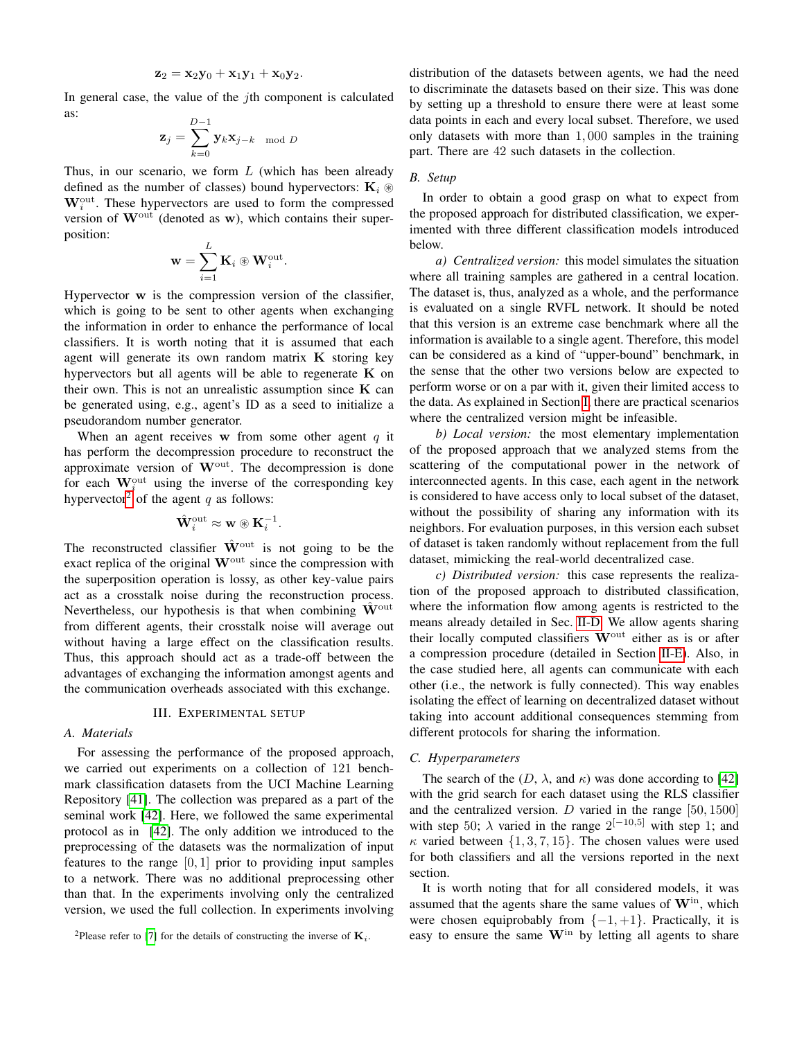$$
\mathbf{z}_2 = \mathbf{x}_2\mathbf{y}_0 + \mathbf{x}_1\mathbf{y}_1 + \mathbf{x}_0\mathbf{y}_2.
$$

In general case, the value of the *j*th component is calculated as:

$$
\mathbf{z}_j = \sum_{k=0}^{D-1} \mathbf{y}_k \mathbf{x}_{j-k} \mod D
$$

Thus, in our scenario, we form  $L$  (which has been already defined as the number of classes) bound hypervectors:  $K_i \otimes$  $\mathbf{W}_{i}^{\text{out}}$ . These hypervectors are used to form the compressed version of  $W<sup>out</sup>$  (denoted as w), which contains their superposition:

$$
\mathbf{w} = \sum_{i=1}^L \mathbf{K}_i \circledast \mathbf{W}_i^{\text{out}}.
$$

Hypervector w is the compression version of the classifier, which is going to be sent to other agents when exchanging the information in order to enhance the performance of local classifiers. It is worth noting that it is assumed that each agent will generate its own random matrix  $K$  storing key hypervectors but all agents will be able to regenerate  $K$  on their own. This is not an unrealistic assumption since  $K$  can be generated using, e.g., agent's ID as a seed to initialize a pseudorandom number generator.

When an agent receives w from some other agent  $q$  it has perform the decompression procedure to reconstruct the approximate version of  $W<sup>out</sup>$ . The decompression is done for each  $W_i^{\text{out}}$  using the inverse of the corresponding key hypervector<sup>[2](#page-4-1)</sup> of the agent q as follows:

$$
\hat{\mathbf{W}}^{\text{out}}_i \approx \mathbf{w} \circledast \mathbf{K}_i^{-1}.
$$

The reconstructed classifier  $\hat{W}^{\text{out}}$  is not going to be the exact replica of the original  $W<sup>out</sup>$  since the compression with the superposition operation is lossy, as other key-value pairs act as a crosstalk noise during the reconstruction process. Nevertheless, our hypothesis is that when combining  $\mathbf{W}^{\text{out}}$ from different agents, their crosstalk noise will average out without having a large effect on the classification results. Thus, this approach should act as a trade-off between the advantages of exchanging the information amongst agents and the communication overheads associated with this exchange.

## III. EXPERIMENTAL SETUP

## <span id="page-4-2"></span><span id="page-4-0"></span>*A. Materials*

For assessing the performance of the proposed approach, we carried out experiments on a collection of 121 benchmark classification datasets from the UCI Machine Learning Repository [\[41\]](#page-9-21). The collection was prepared as a part of the seminal work [\[42\]](#page-9-22). Here, we followed the same experimental protocol as in [\[42\]](#page-9-22). The only addition we introduced to the preprocessing of the datasets was the normalization of input features to the range  $[0, 1]$  prior to providing input samples to a network. There was no additional preprocessing other than that. In the experiments involving only the centralized version, we used the full collection. In experiments involving distribution of the datasets between agents, we had the need to discriminate the datasets based on their size. This was done by setting up a threshold to ensure there were at least some data points in each and every local subset. Therefore, we used only datasets with more than 1, 000 samples in the training part. There are 42 such datasets in the collection.

## *B. Setup*

In order to obtain a good grasp on what to expect from the proposed approach for distributed classification, we experimented with three different classification models introduced below.

*a) Centralized version:* this model simulates the situation where all training samples are gathered in a central location. The dataset is, thus, analyzed as a whole, and the performance is evaluated on a single RVFL network. It should be noted that this version is an extreme case benchmark where all the information is available to a single agent. Therefore, this model can be considered as a kind of "upper-bound" benchmark, in the sense that the other two versions below are expected to perform worse or on a par with it, given their limited access to the data. As explained in Section [I,](#page-0-0) there are practical scenarios where the centralized version might be infeasible.

*b) Local version:* the most elementary implementation of the proposed approach that we analyzed stems from the scattering of the computational power in the network of interconnected agents. In this case, each agent in the network is considered to have access only to local subset of the dataset, without the possibility of sharing any information with its neighbors. For evaluation purposes, in this version each subset of dataset is taken randomly without replacement from the full dataset, mimicking the real-world decentralized case.

*c) Distributed version:* this case represents the realization of the proposed approach to distributed classification, where the information flow among agents is restricted to the means already detailed in Sec. [II-D.](#page-3-3) We allow agents sharing their locally computed classifiers  $W<sup>out</sup>$  either as is or after a compression procedure (detailed in Section [II-E\)](#page-3-0). Also, in the case studied here, all agents can communicate with each other (i.e., the network is fully connected). This way enables isolating the effect of learning on decentralized dataset without taking into account additional consequences stemming from different protocols for sharing the information.

## *C. Hyperparameters*

The search of the  $(D, \lambda, \text{ and } \kappa)$  was done according to [\[42\]](#page-9-22) with the grid search for each dataset using the RLS classifier and the centralized version. D varied in the range  $[50, 1500]$ with step 50;  $\lambda$  varied in the range  $2^{[-10,5]}$  with step 1; and  $\kappa$  varied between  $\{1, 3, 7, 15\}$ . The chosen values were used for both classifiers and all the versions reported in the next section.

It is worth noting that for all considered models, it was assumed that the agents share the same values of  $W<sup>in</sup>$ , which were chosen equiprobably from  $\{-1, +1\}$ . Practically, it is easy to ensure the same  $W<sup>in</sup>$  by letting all agents to share

<span id="page-4-1"></span><sup>&</sup>lt;sup>2</sup>Please refer to [\[7\]](#page-8-7) for the details of constructing the inverse of  $\mathbf{K}_i$ .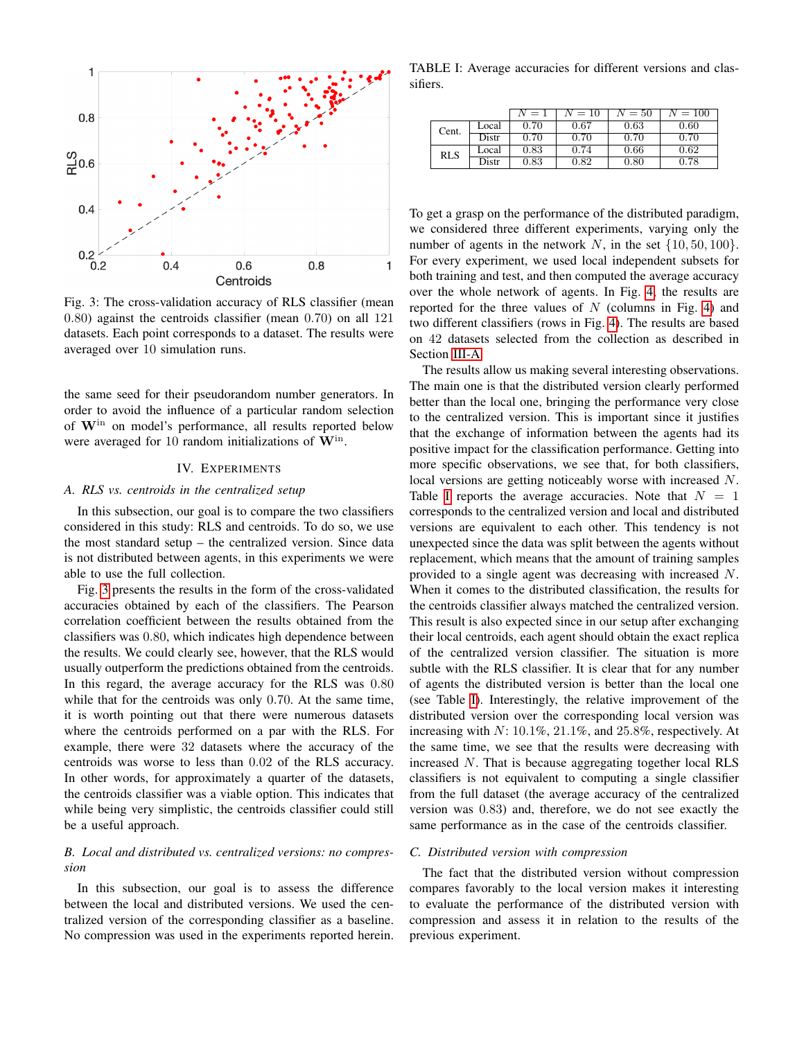<span id="page-5-1"></span>

Fig. 3: The cross-validation accuracy of RLS classifier (mean 0.80) against the centroids classifier (mean 0.70) on all 121 datasets. Each point corresponds to a dataset. The results were averaged over 10 simulation runs.

the same seed for their pseudorandom number generators. In order to avoid the influence of a particular random selection of Win on model's performance, all results reported below were averaged for 10 random initializations of  $W<sup>in</sup>$ .

## IV. EXPERIMENTS

## <span id="page-5-0"></span>*A. RLS vs. centroids in the centralized setup*

In this subsection, our goal is to compare the two classifiers considered in this study: RLS and centroids. To do so, we use the most standard setup – the centralized version. Since data is not distributed between agents, in this experiments we were able to use the full collection.

Fig. [3](#page-5-1) presents the results in the form of the cross-validated accuracies obtained by each of the classifiers. The Pearson correlation coefficient between the results obtained from the classifiers was 0.80, which indicates high dependence between the results. We could clearly see, however, that the RLS would usually outperform the predictions obtained from the centroids. In this regard, the average accuracy for the RLS was 0.80 while that for the centroids was only 0.70. At the same time, it is worth pointing out that there were numerous datasets where the centroids performed on a par with the RLS. For example, there were 32 datasets where the accuracy of the centroids was worse to less than 0.02 of the RLS accuracy. In other words, for approximately a quarter of the datasets, the centroids classifier was a viable option. This indicates that while being very simplistic, the centroids classifier could still be a useful approach.

## *B. Local and distributed vs. centralized versions: no compression*

In this subsection, our goal is to assess the difference between the local and distributed versions. We used the centralized version of the corresponding classifier as a baseline. No compression was used in the experiments reported herein.

<span id="page-5-2"></span>TABLE I: Average accuracies for different versions and classifiers.

|            |       | $N=1$ | $N=10$ | $N=50$ | $N = 100$ |
|------------|-------|-------|--------|--------|-----------|
| Cent.      | Local | 0.70  | 0.67   | 0.63   | 0.60      |
|            | Distr | 0.70  | 0.70   | 0.70   | 0.70      |
| <b>RLS</b> | Local | 0.83  | 0.74   | 0.66   | 0.62      |
|            | Distr | 0.83  | 0.82   | 0.80   | 0.78      |

To get a grasp on the performance of the distributed paradigm, we considered three different experiments, varying only the number of agents in the network N, in the set  $\{10, 50, 100\}$ . For every experiment, we used local independent subsets for both training and test, and then computed the average accuracy over the whole network of agents. In Fig. [4,](#page-6-1) the results are reported for the three values of  $N$  (columns in Fig. [4\)](#page-6-1) and two different classifiers (rows in Fig. [4\)](#page-6-1). The results are based on 42 datasets selected from the collection as described in Section [III-A.](#page-4-2)

The results allow us making several interesting observations. The main one is that the distributed version clearly performed better than the local one, bringing the performance very close to the centralized version. This is important since it justifies that the exchange of information between the agents had its positive impact for the classification performance. Getting into more specific observations, we see that, for both classifiers, local versions are getting noticeably worse with increased N. Table [I](#page-5-2) reports the average accuracies. Note that  $N = 1$ corresponds to the centralized version and local and distributed versions are equivalent to each other. This tendency is not unexpected since the data was split between the agents without replacement, which means that the amount of training samples provided to a single agent was decreasing with increased N. When it comes to the distributed classification, the results for the centroids classifier always matched the centralized version. This result is also expected since in our setup after exchanging their local centroids, each agent should obtain the exact replica of the centralized version classifier. The situation is more subtle with the RLS classifier. It is clear that for any number of agents the distributed version is better than the local one (see Table [I\)](#page-5-2). Interestingly, the relative improvement of the distributed version over the corresponding local version was increasing with N: 10.1%, 21.1%, and 25.8%, respectively. At the same time, we see that the results were decreasing with increased N. That is because aggregating together local RLS classifiers is not equivalent to computing a single classifier from the full dataset (the average accuracy of the centralized version was 0.83) and, therefore, we do not see exactly the same performance as in the case of the centroids classifier.

## *C. Distributed version with compression*

The fact that the distributed version without compression compares favorably to the local version makes it interesting to evaluate the performance of the distributed version with compression and assess it in relation to the results of the previous experiment.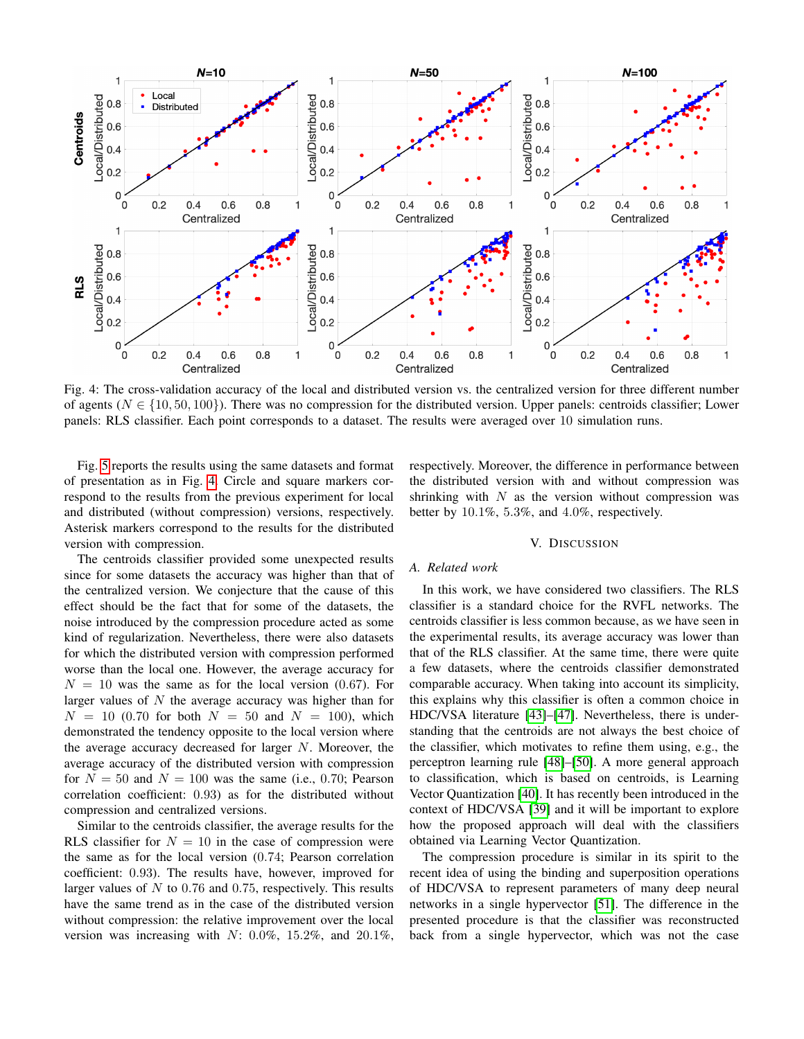<span id="page-6-1"></span>

Fig. 4: The cross-validation accuracy of the local and distributed version vs. the centralized version for three different number of agents ( $N \in \{10, 50, 100\}$ ). There was no compression for the distributed version. Upper panels: centroids classifier; Lower panels: RLS classifier. Each point corresponds to a dataset. The results were averaged over 10 simulation runs.

Fig. [5](#page-7-0) reports the results using the same datasets and format of presentation as in Fig. [4.](#page-6-1) Circle and square markers correspond to the results from the previous experiment for local and distributed (without compression) versions, respectively. Asterisk markers correspond to the results for the distributed version with compression.

respectively. Moreover, the difference in performance between the distributed version with and without compression was shrinking with  $N$  as the version without compression was better by 10.1%, 5.3%, and 4.0%, respectively.

### V. DISCUSSION

The centroids classifier provided some unexpected results since for some datasets the accuracy was higher than that of the centralized version. We conjecture that the cause of this effect should be the fact that for some of the datasets, the noise introduced by the compression procedure acted as some kind of regularization. Nevertheless, there were also datasets for which the distributed version with compression performed worse than the local one. However, the average accuracy for  $N = 10$  was the same as for the local version (0.67). For larger values of  $N$  the average accuracy was higher than for  $N = 10$  (0.70 for both  $N = 50$  and  $N = 100$ ), which demonstrated the tendency opposite to the local version where the average accuracy decreased for larger N. Moreover, the average accuracy of the distributed version with compression for  $N = 50$  and  $N = 100$  was the same (i.e., 0.70; Pearson correlation coefficient: 0.93) as for the distributed without compression and centralized versions.

## Similar to the centroids classifier, the average results for the RLS classifier for  $N = 10$  in the case of compression were the same as for the local version (0.74; Pearson correlation coefficient: 0.93). The results have, however, improved for larger values of  $N$  to 0.76 and 0.75, respectively. This results have the same trend as in the case of the distributed version without compression: the relative improvement over the local version was increasing with  $N: 0.0\%$ , 15.2%, and 20.1%,

## <span id="page-6-0"></span>*A. Related work*

In this work, we have considered two classifiers. The RLS classifier is a standard choice for the RVFL networks. The centroids classifier is less common because, as we have seen in the experimental results, its average accuracy was lower than that of the RLS classifier. At the same time, there were quite a few datasets, where the centroids classifier demonstrated comparable accuracy. When taking into account its simplicity, this explains why this classifier is often a common choice in HDC/VSA literature [\[43\]](#page-9-23)–[\[47\]](#page-9-24). Nevertheless, there is understanding that the centroids are not always the best choice of the classifier, which motivates to refine them using, e.g., the perceptron learning rule [\[48\]](#page-9-25)–[\[50\]](#page-9-26). A more general approach to classification, which is based on centroids, is Learning Vector Quantization [\[40\]](#page-9-20). It has recently been introduced in the context of HDC/VSA [\[39\]](#page-9-19) and it will be important to explore how the proposed approach will deal with the classifiers obtained via Learning Vector Quantization.

The compression procedure is similar in its spirit to the recent idea of using the binding and superposition operations of HDC/VSA to represent parameters of many deep neural networks in a single hypervector [\[51\]](#page-9-27). The difference in the presented procedure is that the classifier was reconstructed back from a single hypervector, which was not the case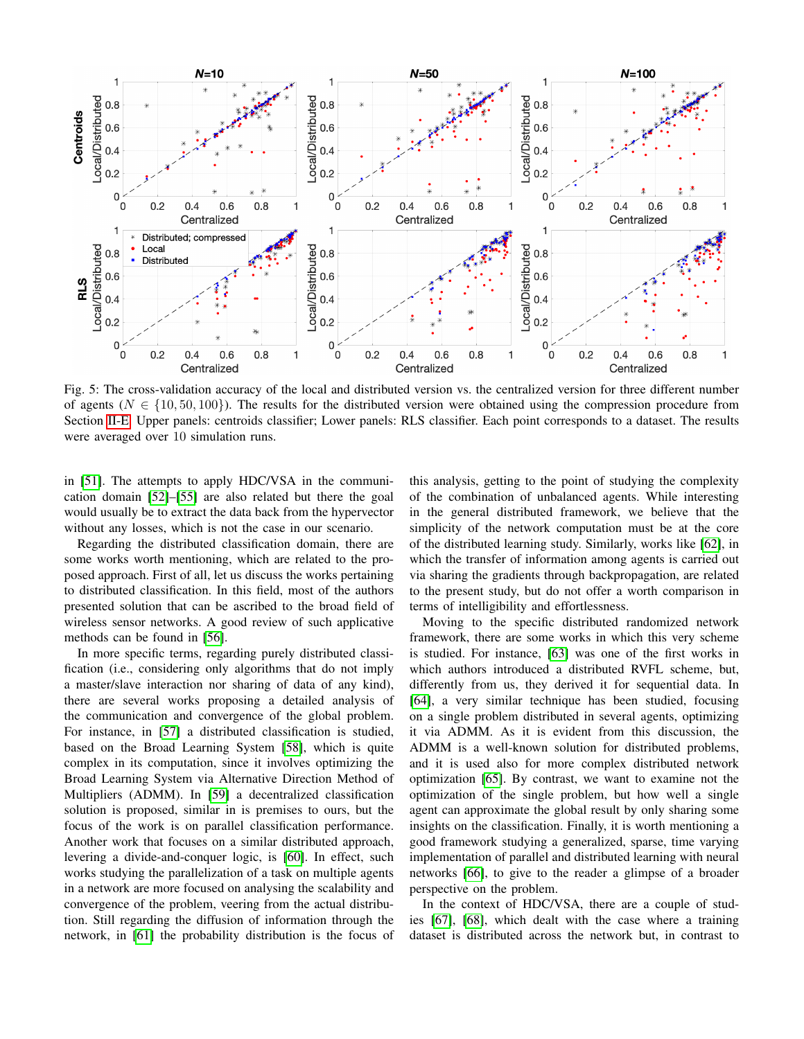<span id="page-7-0"></span>

Fig. 5: The cross-validation accuracy of the local and distributed version vs. the centralized version for three different number of agents ( $N \in \{10, 50, 100\}$ ). The results for the distributed version were obtained using the compression procedure from Section [II-E.](#page-3-0) Upper panels: centroids classifier; Lower panels: RLS classifier. Each point corresponds to a dataset. The results were averaged over 10 simulation runs.

in [\[51\]](#page-9-27). The attempts to apply HDC/VSA in the communication domain [\[52\]](#page-9-28)–[\[55\]](#page-9-29) are also related but there the goal would usually be to extract the data back from the hypervector without any losses, which is not the case in our scenario.

Regarding the distributed classification domain, there are some works worth mentioning, which are related to the proposed approach. First of all, let us discuss the works pertaining to distributed classification. In this field, most of the authors presented solution that can be ascribed to the broad field of wireless sensor networks. A good review of such applicative methods can be found in [\[56\]](#page-9-30).

In more specific terms, regarding purely distributed classification (i.e., considering only algorithms that do not imply a master/slave interaction nor sharing of data of any kind), there are several works proposing a detailed analysis of the communication and convergence of the global problem. For instance, in [\[57\]](#page-9-31) a distributed classification is studied, based on the Broad Learning System [\[58\]](#page-10-0), which is quite complex in its computation, since it involves optimizing the Broad Learning System via Alternative Direction Method of Multipliers (ADMM). In [\[59\]](#page-10-1) a decentralized classification solution is proposed, similar in is premises to ours, but the focus of the work is on parallel classification performance. Another work that focuses on a similar distributed approach, levering a divide-and-conquer logic, is [\[60\]](#page-10-2). In effect, such works studying the parallelization of a task on multiple agents in a network are more focused on analysing the scalability and convergence of the problem, veering from the actual distribution. Still regarding the diffusion of information through the network, in [\[61\]](#page-10-3) the probability distribution is the focus of this analysis, getting to the point of studying the complexity of the combination of unbalanced agents. While interesting in the general distributed framework, we believe that the simplicity of the network computation must be at the core of the distributed learning study. Similarly, works like [\[62\]](#page-10-4), in which the transfer of information among agents is carried out via sharing the gradients through backpropagation, are related to the present study, but do not offer a worth comparison in terms of intelligibility and effortlessness.

Moving to the specific distributed randomized network framework, there are some works in which this very scheme is studied. For instance, [\[63\]](#page-10-5) was one of the first works in which authors introduced a distributed RVFL scheme, but, differently from us, they derived it for sequential data. In [\[64\]](#page-10-6), a very similar technique has been studied, focusing on a single problem distributed in several agents, optimizing it via ADMM. As it is evident from this discussion, the ADMM is a well-known solution for distributed problems, and it is used also for more complex distributed network optimization [\[65\]](#page-10-7). By contrast, we want to examine not the optimization of the single problem, but how well a single agent can approximate the global result by only sharing some insights on the classification. Finally, it is worth mentioning a good framework studying a generalized, sparse, time varying implementation of parallel and distributed learning with neural networks [\[66\]](#page-10-8), to give to the reader a glimpse of a broader perspective on the problem.

In the context of HDC/VSA, there are a couple of studies [\[67\]](#page-10-9), [\[68\]](#page-10-10), which dealt with the case where a training dataset is distributed across the network but, in contrast to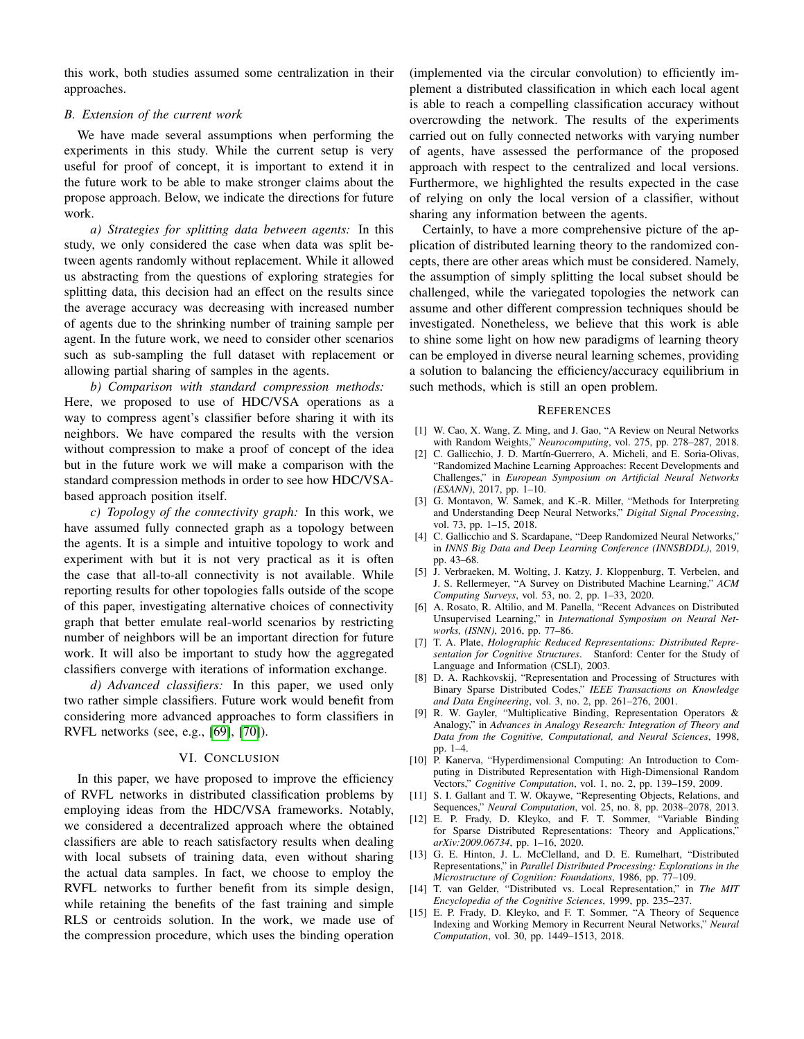this work, both studies assumed some centralization in their approaches.

## *B. Extension of the current work*

We have made several assumptions when performing the experiments in this study. While the current setup is very useful for proof of concept, it is important to extend it in the future work to be able to make stronger claims about the propose approach. Below, we indicate the directions for future work.

*a) Strategies for splitting data between agents:* In this study, we only considered the case when data was split between agents randomly without replacement. While it allowed us abstracting from the questions of exploring strategies for splitting data, this decision had an effect on the results since the average accuracy was decreasing with increased number of agents due to the shrinking number of training sample per agent. In the future work, we need to consider other scenarios such as sub-sampling the full dataset with replacement or allowing partial sharing of samples in the agents.

*b) Comparison with standard compression methods:* Here, we proposed to use of HDC/VSA operations as a way to compress agent's classifier before sharing it with its neighbors. We have compared the results with the version without compression to make a proof of concept of the idea but in the future work we will make a comparison with the standard compression methods in order to see how HDC/VSAbased approach position itself.

*c) Topology of the connectivity graph:* In this work, we have assumed fully connected graph as a topology between the agents. It is a simple and intuitive topology to work and experiment with but it is not very practical as it is often the case that all-to-all connectivity is not available. While reporting results for other topologies falls outside of the scope of this paper, investigating alternative choices of connectivity graph that better emulate real-world scenarios by restricting number of neighbors will be an important direction for future work. It will also be important to study how the aggregated classifiers converge with iterations of information exchange.

*d) Advanced classifiers:* In this paper, we used only two rather simple classifiers. Future work would benefit from considering more advanced approaches to form classifiers in RVFL networks (see, e.g., [\[69\]](#page-10-11), [\[70\]](#page-10-12)).

## VI. CONCLUSION

<span id="page-8-6"></span>In this paper, we have proposed to improve the efficiency of RVFL networks in distributed classification problems by employing ideas from the HDC/VSA frameworks. Notably, we considered a decentralized approach where the obtained classifiers are able to reach satisfactory results when dealing with local subsets of training data, even without sharing the actual data samples. In fact, we choose to employ the RVFL networks to further benefit from its simple design, while retaining the benefits of the fast training and simple RLS or centroids solution. In the work, we made use of the compression procedure, which uses the binding operation

(implemented via the circular convolution) to efficiently implement a distributed classification in which each local agent is able to reach a compelling classification accuracy without overcrowding the network. The results of the experiments carried out on fully connected networks with varying number of agents, have assessed the performance of the proposed approach with respect to the centralized and local versions. Furthermore, we highlighted the results expected in the case of relying on only the local version of a classifier, without sharing any information between the agents.

Certainly, to have a more comprehensive picture of the application of distributed learning theory to the randomized concepts, there are other areas which must be considered. Namely, the assumption of simply splitting the local subset should be challenged, while the variegated topologies the network can assume and other different compression techniques should be investigated. Nonetheless, we believe that this work is able to shine some light on how new paradigms of learning theory can be employed in diverse neural learning schemes, providing a solution to balancing the efficiency/accuracy equilibrium in such methods, which is still an open problem.

#### **REFERENCES**

- <span id="page-8-0"></span>[1] W. Cao, X. Wang, Z. Ming, and J. Gao, "A Review on Neural Networks with Random Weights," *Neurocomputing*, vol. 275, pp. 278–287, 2018.
- <span id="page-8-1"></span>[2] C. Gallicchio, J. D. Martín-Guerrero, A. Micheli, and E. Soria-Olivas, "Randomized Machine Learning Approaches: Recent Developments and Challenges," in *European Symposium on Artificial Neural Networks (ESANN)*, 2017, pp. 1–10.
- <span id="page-8-2"></span>[3] G. Montavon, W. Samek, and K.-R. Miller, "Methods for Interpreting and Understanding Deep Neural Networks," *Digital Signal Processing*, vol. 73, pp. 1–15, 2018.
- <span id="page-8-3"></span>[4] C. Gallicchio and S. Scardapane, "Deep Randomized Neural Networks," in *INNS Big Data and Deep Learning Conference (INNSBDDL)*, 2019, pp. 43–68.
- <span id="page-8-4"></span>[5] J. Verbraeken, M. Wolting, J. Katzy, J. Kloppenburg, T. Verbelen, and J. S. Rellermeyer, "A Survey on Distributed Machine Learning," *ACM Computing Surveys*, vol. 53, no. 2, pp. 1–33, 2020.
- <span id="page-8-5"></span>[6] A. Rosato, R. Altilio, and M. Panella, "Recent Advances on Distributed Unsupervised Learning," in *International Symposium on Neural Networks, (ISNN)*, 2016, pp. 77–86.
- <span id="page-8-7"></span>[7] T. A. Plate, *Holographic Reduced Representations: Distributed Representation for Cognitive Structures*. Stanford: Center for the Study of Language and Information (CSLI), 2003.
- <span id="page-8-14"></span>[8] D. A. Rachkovskij, "Representation and Processing of Structures with Binary Sparse Distributed Codes," *IEEE Transactions on Knowledge and Data Engineering*, vol. 3, no. 2, pp. 261–276, 2001.
- <span id="page-8-11"></span>[9] R. W. Gayler, "Multiplicative Binding, Representation Operators & Analogy," in *Advances in Analogy Research: Integration of Theory and Data from the Cognitive, Computational, and Neural Sciences*, 1998, pp. 1–4.
- <span id="page-8-13"></span>[10] P. Kanerva, "Hyperdimensional Computing: An Introduction to Computing in Distributed Representation with High-Dimensional Random Vectors," *Cognitive Computation*, vol. 1, no. 2, pp. 139–159, 2009.
- [11] S. I. Gallant and T. W. Okaywe, "Representing Objects, Relations, and Sequences," *Neural Computation*, vol. 25, no. 8, pp. 2038–2078, 2013.
- <span id="page-8-8"></span>[12] E. P. Frady, D. Kleyko, and F. T. Sommer, "Variable Binding for Sparse Distributed Representations: Theory and Applications,' *arXiv:2009.06734*, pp. 1–16, 2020.
- <span id="page-8-9"></span>[13] G. E. Hinton, J. L. McClelland, and D. E. Rumelhart, "Distributed Representations," in *Parallel Distributed Processing: Explorations in the Microstructure of Cognition: Foundations*, 1986, pp. 77–109.
- <span id="page-8-10"></span>[14] T. van Gelder, "Distributed vs. Local Representation," in *The MIT Encyclopedia of the Cognitive Sciences*, 1999, pp. 235–237.
- <span id="page-8-12"></span>[15] E. P. Frady, D. Kleyko, and F. T. Sommer, "A Theory of Sequence Indexing and Working Memory in Recurrent Neural Networks," *Neural Computation*, vol. 30, pp. 1449–1513, 2018.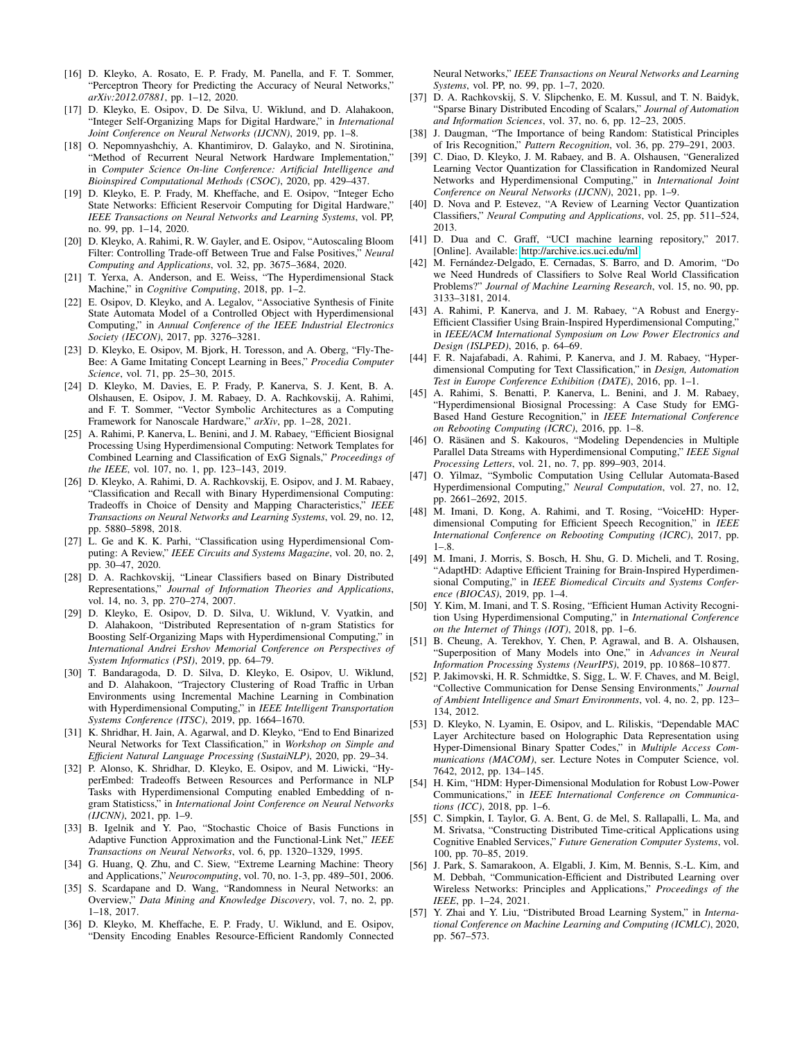- <span id="page-9-0"></span>[16] D. Kleyko, A. Rosato, E. P. Frady, M. Panella, and F. T. Sommer, "Perceptron Theory for Predicting the Accuracy of Neural Networks," *arXiv:2012.07881*, pp. 1–12, 2020.
- <span id="page-9-1"></span>[17] D. Kleyko, E. Osipov, D. De Silva, U. Wiklund, and D. Alahakoon, "Integer Self-Organizing Maps for Digital Hardware," in *International Joint Conference on Neural Networks (IJCNN)*, 2019, pp. 1–8.
- <span id="page-9-2"></span>[18] O. Nepomnyashchiy, A. Khantimirov, D. Galayko, and N. Sirotinina, "Method of Recurrent Neural Network Hardware Implementation," in *Computer Science On-line Conference: Artificial Intelligence and Bioinspired Computational Methods (CSOC)*, 2020, pp. 429–437.
- <span id="page-9-3"></span>[19] D. Kleyko, E. P. Frady, M. Kheffache, and E. Osipov, "Integer Echo State Networks: Efficient Reservoir Computing for Digital Hardware," *IEEE Transactions on Neural Networks and Learning Systems*, vol. PP, no. 99, pp. 1–14, 2020.
- <span id="page-9-4"></span>[20] D. Kleyko, A. Rahimi, R. W. Gayler, and E. Osipov, "Autoscaling Bloom Filter: Controlling Trade-off Between True and False Positives," *Neural Computing and Applications*, vol. 32, pp. 3675–3684, 2020.
- <span id="page-9-5"></span>[21] T. Yerxa, A. Anderson, and E. Weiss, "The Hyperdimensional Stack Machine," in *Cognitive Computing*, 2018, pp. 1–2.
- <span id="page-9-6"></span>[22] E. Osipov, D. Kleyko, and A. Legalov, "Associative Synthesis of Finite State Automata Model of a Controlled Object with Hyperdimensional Computing," in *Annual Conference of the IEEE Industrial Electronics Society (IECON)*, 2017, pp. 3276–3281.
- <span id="page-9-7"></span>[23] D. Kleyko, E. Osipov, M. Bjork, H. Toresson, and A. Oberg, "Fly-The-Bee: A Game Imitating Concept Learning in Bees," *Procedia Computer Science*, vol. 71, pp. 25–30, 2015.
- <span id="page-9-8"></span>[24] D. Kleyko, M. Davies, E. P. Frady, P. Kanerva, S. J. Kent, B. A. Olshausen, E. Osipov, J. M. Rabaey, D. A. Rachkovskij, A. Rahimi, and F. T. Sommer, "Vector Symbolic Architectures as a Computing Framework for Nanoscale Hardware," *arXiv*, pp. 1–28, 2021.
- <span id="page-9-9"></span>[25] A. Rahimi, P. Kanerva, L. Benini, and J. M. Rabaey, "Efficient Biosignal Processing Using Hyperdimensional Computing: Network Templates for Combined Learning and Classification of ExG Signals," *Proceedings of the IEEE*, vol. 107, no. 1, pp. 123–143, 2019.
- [26] D. Kleyko, A. Rahimi, D. A. Rachkovskij, E. Osipov, and J. M. Rabaey, "Classification and Recall with Binary Hyperdimensional Computing: Tradeoffs in Choice of Density and Mapping Characteristics," *IEEE Transactions on Neural Networks and Learning Systems*, vol. 29, no. 12, pp. 5880–5898, 2018.
- <span id="page-9-10"></span>[27] L. Ge and K. K. Parhi, "Classification using Hyperdimensional Computing: A Review," *IEEE Circuits and Systems Magazine*, vol. 20, no. 2, pp. 30–47, 2020.
- <span id="page-9-11"></span>[28] D. A. Rachkovskij, "Linear Classifiers based on Binary Distributed Representations," *Journal of Information Theories and Applications*, vol. 14, no. 3, pp. 270–274, 2007.
- [29] D. Kleyko, E. Osipov, D. D. Silva, U. Wiklund, V. Vyatkin, and D. Alahakoon, "Distributed Representation of n-gram Statistics for Boosting Self-Organizing Maps with Hyperdimensional Computing," in *International Andrei Ershov Memorial Conference on Perspectives of System Informatics (PSI)*, 2019, pp. 64–79.
- [30] T. Bandaragoda, D. D. Silva, D. Kleyko, E. Osipov, U. Wiklund, and D. Alahakoon, "Trajectory Clustering of Road Traffic in Urban Environments using Incremental Machine Learning in Combination with Hyperdimensional Computing," in *IEEE Intelligent Transportation Systems Conference (ITSC)*, 2019, pp. 1664–1670.
- [31] K. Shridhar, H. Jain, A. Agarwal, and D. Kleyko, "End to End Binarized Neural Networks for Text Classification," in *Workshop on Simple and Efficient Natural Language Processing (SustaiNLP)*, 2020, pp. 29–34.
- <span id="page-9-12"></span>[32] P. Alonso, K. Shridhar, D. Kleyko, E. Osipov, and M. Liwicki, "HyperEmbed: Tradeoffs Between Resources and Performance in NLP Tasks with Hyperdimensional Computing enabled Embedding of ngram Statisticss," in *International Joint Conference on Neural Networks (IJCNN)*, 2021, pp. 1–9.
- <span id="page-9-13"></span>[33] B. Igelnik and Y. Pao, "Stochastic Choice of Basis Functions in Adaptive Function Approximation and the Functional-Link Net," *IEEE Transactions on Neural Networks*, vol. 6, pp. 1320–1329, 1995.
- <span id="page-9-14"></span>[34] G. Huang, Q. Zhu, and C. Siew, "Extreme Learning Machine: Theory and Applications," *Neurocomputing*, vol. 70, no. 1-3, pp. 489–501, 2006.
- <span id="page-9-15"></span>[35] S. Scardapane and D. Wang, "Randomness in Neural Networks: an Overview," *Data Mining and Knowledge Discovery*, vol. 7, no. 2, pp. 1–18, 2017.
- <span id="page-9-16"></span>[36] D. Kleyko, M. Kheffache, E. P. Frady, U. Wiklund, and E. Osipov, "Density Encoding Enables Resource-Efficient Randomly Connected

Neural Networks," *IEEE Transactions on Neural Networks and Learning Systems*, vol. PP, no. 99, pp. 1–7, 2020.

- <span id="page-9-17"></span>[37] D. A. Rachkovskij, S. V. Slipchenko, E. M. Kussul, and T. N. Baidyk, "Sparse Binary Distributed Encoding of Scalars," *Journal of Automation and Information Sciences*, vol. 37, no. 6, pp. 12–23, 2005.
- <span id="page-9-18"></span>[38] J. Daugman, "The Importance of being Random: Statistical Principles of Iris Recognition," *Pattern Recognition*, vol. 36, pp. 279–291, 2003.
- <span id="page-9-19"></span>[39] C. Diao, D. Kleyko, J. M. Rabaey, and B. A. Olshausen, "Generalized Learning Vector Quantization for Classification in Randomized Neural Networks and Hyperdimensional Computing," in *International Joint Conference on Neural Networks (IJCNN)*, 2021, pp. 1–9.
- <span id="page-9-20"></span>[40] D. Nova and P. Estevez, "A Review of Learning Vector Quantization Classifiers," *Neural Computing and Applications*, vol. 25, pp. 511–524, 2013.
- <span id="page-9-21"></span>[41] D. Dua and C. Graff, "UCI machine learning repository," 2017. [Online]. Available:<http://archive.ics.uci.edu/ml>
- <span id="page-9-22"></span>[42] M. Fernández-Delgado, E. Cernadas, S. Barro, and D. Amorim, "Do we Need Hundreds of Classifiers to Solve Real World Classification Problems?" *Journal of Machine Learning Research*, vol. 15, no. 90, pp. 3133–3181, 2014.
- <span id="page-9-23"></span>[43] A. Rahimi, P. Kanerva, and J. M. Rabaey, "A Robust and Energy-Efficient Classifier Using Brain-Inspired Hyperdimensional Computing,' in *IEEE/ACM International Symposium on Low Power Electronics and Design (ISLPED)*, 2016, p. 64–69.
- [44] F. R. Najafabadi, A. Rahimi, P. Kanerva, and J. M. Rabaey, "Hyperdimensional Computing for Text Classification," in *Design, Automation Test in Europe Conference Exhibition (DATE)*, 2016, pp. 1–1.
- [45] A. Rahimi, S. Benatti, P. Kanerva, L. Benini, and J. M. Rabaey, "Hyperdimensional Biosignal Processing: A Case Study for EMG-Based Hand Gesture Recognition," in *IEEE International Conference on Rebooting Computing (ICRC)*, 2016, pp. 1–8.
- [46] O. Räsänen and S. Kakouros, "Modeling Dependencies in Multiple Parallel Data Streams with Hyperdimensional Computing," *IEEE Signal Processing Letters*, vol. 21, no. 7, pp. 899–903, 2014.
- <span id="page-9-24"></span>[47] O. Yilmaz, "Symbolic Computation Using Cellular Automata-Based Hyperdimensional Computing," *Neural Computation*, vol. 27, no. 12, pp. 2661–2692, 2015.
- <span id="page-9-25"></span>[48] M. Imani, D. Kong, A. Rahimi, and T. Rosing, "VoiceHD: Hyperdimensional Computing for Efficient Speech Recognition," in *IEEE International Conference on Rebooting Computing (ICRC)*, 2017, pp.  $1 - 8$ .
- [49] M. Imani, J. Morris, S. Bosch, H. Shu, G. D. Micheli, and T. Rosing, "AdaptHD: Adaptive Efficient Training for Brain-Inspired Hyperdimensional Computing," in *IEEE Biomedical Circuits and Systems Conference (BIOCAS)*, 2019, pp. 1–4.
- <span id="page-9-26"></span>[50] Y. Kim, M. Imani, and T. S. Rosing, "Efficient Human Activity Recognition Using Hyperdimensional Computing," in *International Conference on the Internet of Things (IOT)*, 2018, pp. 1–6.
- <span id="page-9-27"></span>[51] B. Cheung, A. Terekhov, Y. Chen, P. Agrawal, and B. A. Olshausen, "Superposition of Many Models into One," in *Advances in Neural Information Processing Systems (NeurIPS)*, 2019, pp. 10 868–10 877.
- <span id="page-9-28"></span>[52] P. Jakimovski, H. R. Schmidtke, S. Sigg, L. W. F. Chaves, and M. Beigl, "Collective Communication for Dense Sensing Environments," *Journal of Ambient Intelligence and Smart Environments*, vol. 4, no. 2, pp. 123– 134, 2012.
- [53] D. Kleyko, N. Lyamin, E. Osipov, and L. Riliskis, "Dependable MAC Layer Architecture based on Holographic Data Representation using Hyper-Dimensional Binary Spatter Codes," in *Multiple Access Communications (MACOM)*, ser. Lecture Notes in Computer Science, vol. 7642, 2012, pp. 134–145.
- [54] H. Kim, "HDM: Hyper-Dimensional Modulation for Robust Low-Power Communications," in *IEEE International Conference on Communications (ICC)*, 2018, pp. 1–6.
- <span id="page-9-29"></span>[55] C. Simpkin, I. Taylor, G. A. Bent, G. de Mel, S. Rallapalli, L. Ma, and M. Srivatsa, "Constructing Distributed Time-critical Applications using Cognitive Enabled Services," *Future Generation Computer Systems*, vol. 100, pp. 70–85, 2019.
- <span id="page-9-30"></span>[56] J. Park, S. Samarakoon, A. Elgabli, J. Kim, M. Bennis, S.-L. Kim, and M. Debbah, "Communication-Efficient and Distributed Learning over Wireless Networks: Principles and Applications," *Proceedings of the IEEE*, pp. 1–24, 2021.
- <span id="page-9-31"></span>[57] Y. Zhai and Y. Liu, "Distributed Broad Learning System," in *International Conference on Machine Learning and Computing (ICMLC)*, 2020, pp. 567–573.